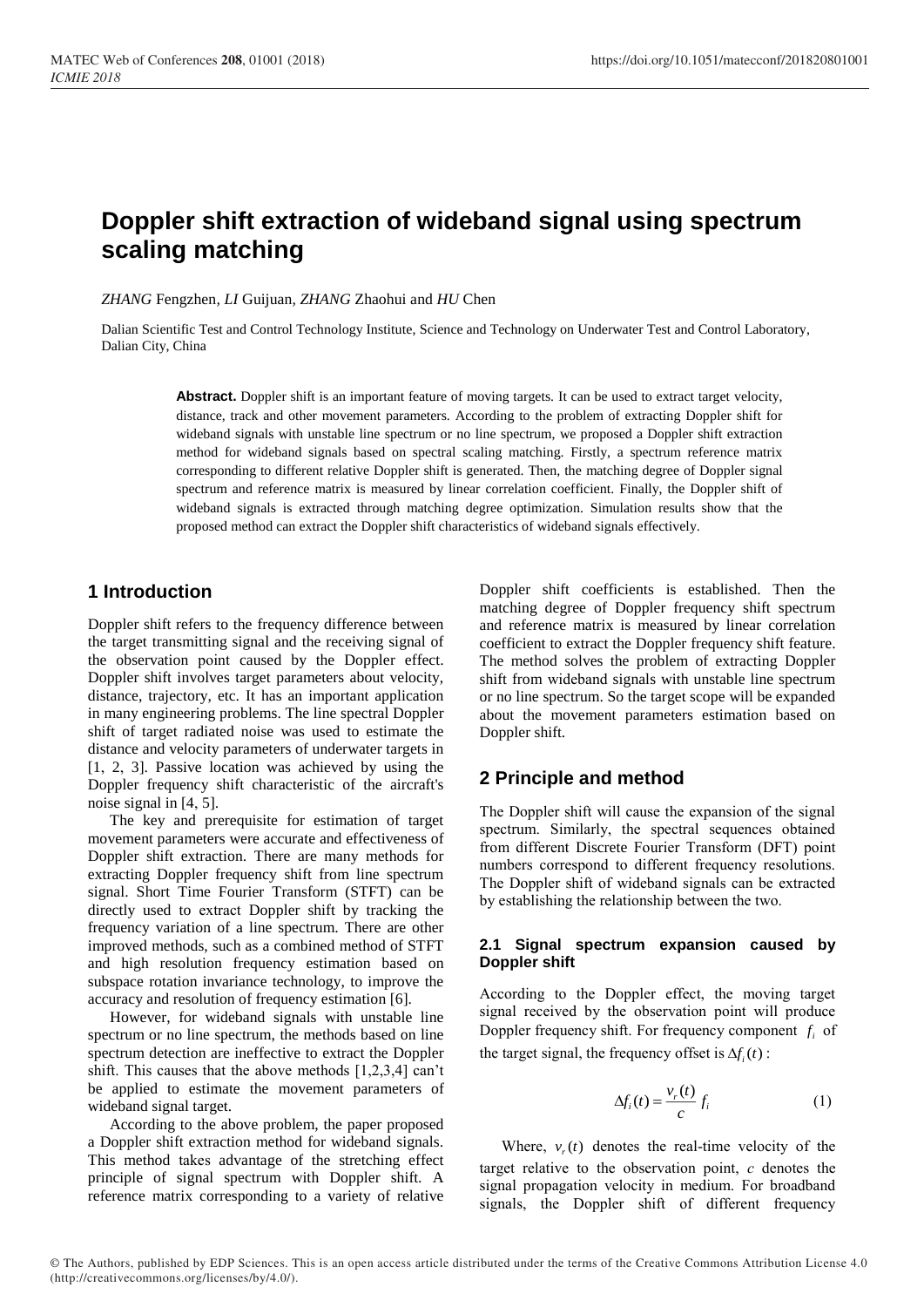# **Doppler shift extraction of wideband signal using spectrum scaling matching**

*ZHANG* Fengzhen*, LI* Guijuan*, ZHANG* Zhaohui and *HU* Chen

Dalian Scientific Test and Control Technology Institute, Science and Technology on Underwater Test and Control Laboratory, Dalian City, China

> **Abstract.** Doppler shift is an important feature of moving targets. It can be used to extract target velocity, distance, track and other movement parameters. According to the problem of extracting Doppler shift for wideband signals with unstable line spectrum or no line spectrum, we proposed a Doppler shift extraction method for wideband signals based on spectral scaling matching. Firstly, a spectrum reference matrix corresponding to different relative Doppler shift is generated. Then, the matching degree of Doppler signal spectrum and reference matrix is measured by linear correlation coefficient. Finally, the Doppler shift of wideband signals is extracted through matching degree optimization. Simulation results show that the proposed method can extract the Doppler shift characteristics of wideband signals effectively.

## **1 Introduction**

Doppler shift refers to the frequency difference between the target transmitting signal and the receiving signal of the observation point caused by the Doppler effect. Doppler shift involves target parameters about velocity, distance, trajectory, etc. It has an important application in many engineering problems. The line spectral Doppler shift of target radiated noise was used to estimate the distance and velocity parameters of underwater targets in [1, 2, 3]. Passive location was achieved by using the Doppler frequency shift characteristic of the aircraft's noise signal in [4, 5].

The key and prerequisite for estimation of target movement parameters were accurate and effectiveness of Doppler shift extraction. There are many methods for extracting Doppler frequency shift from line spectrum signal. Short Time Fourier Transform (STFT) can be directly used to extract Doppler shift by tracking the frequency variation of a line spectrum. There are other improved methods, such as a combined method of STFT and high resolution frequency estimation based on subspace rotation invariance technology, to improve the accuracy and resolution of frequency estimation [6].

However, for wideband signals with unstable line spectrum or no line spectrum, the methods based on line spectrum detection are ineffective to extract the Doppler shift. This causes that the above methods [1,2,3,4] can't be applied to estimate the movement parameters of wideband signal target.

According to the above problem, the paper proposed a Doppler shift extraction method for wideband signals. This method takes advantage of the stretching effect principle of signal spectrum with Doppler shift. A reference matrix corresponding to a variety of relative

Doppler shift coefficients is established. Then the matching degree of Doppler frequency shift spectrum and reference matrix is measured by linear correlation coefficient to extract the Doppler frequency shift feature. The method solves the problem of extracting Doppler shift from wideband signals with unstable line spectrum or no line spectrum. So the target scope will be expanded about the movement parameters estimation based on Doppler shift.

## **2 Principle and method**

The Doppler shift will cause the expansion of the signal spectrum. Similarly, the spectral sequences obtained from different Discrete Fourier Transform (DFT) point numbers correspond to different frequency resolutions. The Doppler shift of wideband signals can be extracted by establishing the relationship between the two.

### **2.1 Signal spectrum expansion caused by Doppler shift**

According to the Doppler effect, the moving target signal received by the observation point will produce Doppler frequency shift. For frequency component  $f_i$  of the target signal, the frequency offset is  $\Delta f_i(t)$ :

$$
\Delta f_i(t) = \frac{v_r(t)}{c} f_i \tag{1}
$$

Where,  $v_r(t)$  denotes the real-time velocity of the target relative to the observation point, *c* denotes the signal propagation velocity in medium. For broadband signals, the Doppler shift of different frequency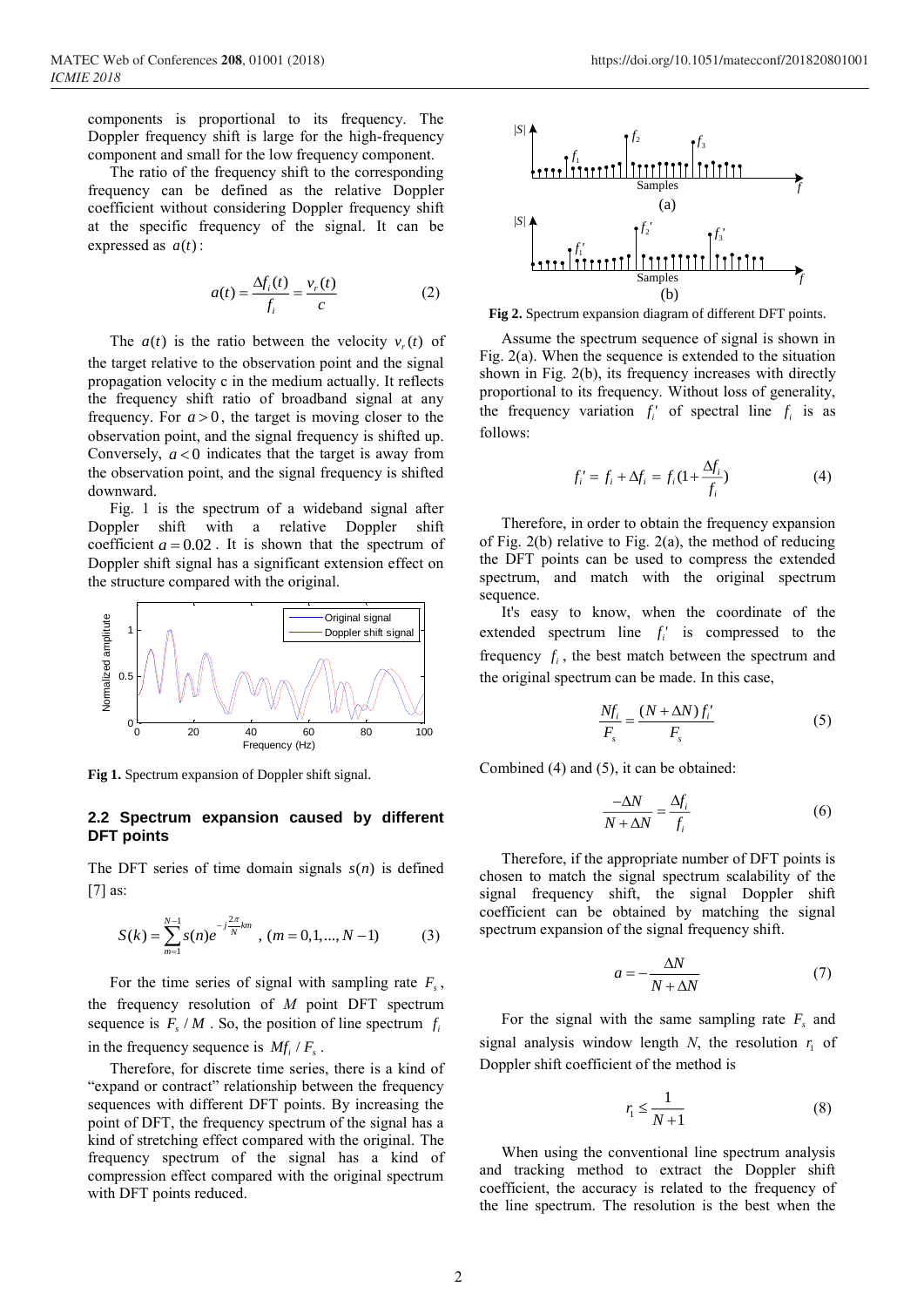components is proportional to its frequency. The Doppler frequency shift is large for the high-frequency component and small for the low frequency component.

The ratio of the frequency shift to the corresponding frequency can be defined as the relative Doppler coefficient without considering Doppler frequency shift at the specific frequency of the signal. It can be expressed as  $a(t)$ :

$$
a(t) = \frac{\Delta f_i(t)}{f_i} = \frac{v_r(t)}{c}
$$
 (2)

The  $a(t)$  is the ratio between the velocity  $v_r(t)$  of the target relative to the observation point and the signal propagation velocity c in the medium actually. It reflects the frequency shift ratio of broadband signal at any frequency. For  $a > 0$ , the target is moving closer to the observation point, and the signal frequency is shifted up. Conversely,  $a < 0$  indicates that the target is away from the observation point, and the signal frequency is shifted downward.

Fig. 1 is the spectrum of a wideband signal after Doppler shift with a relative Doppler shift coefficient  $a = 0.02$ . It is shown that the spectrum of Doppler shift signal has a significant extension effect on the structure compared with the original.



**Fig 1.** Spectrum expansion of Doppler shift signal.

#### **2.2 Spectrum expansion caused by different DFT points**

The DFT series of time domain signals  $s(n)$  is defined [7] as:

$$
S(k) = \sum_{m=1}^{N-1} s(n)e^{-j\frac{2\pi}{N}km} , (m = 0, 1, ..., N-1)
$$
 (3)

For the time series of signal with sampling rate  $F<sub>s</sub>$ , the frequency resolution of *M* point DFT spectrum sequence is  $F_s / M$ . So, the position of line spectrum  $f_i$ in the frequency sequence is  $Mf_i / F_s$ .

Therefore, for discrete time series, there is a kind of "expand or contract" relationship between the frequency sequences with different DFT points. By increasing the point of DFT, the frequency spectrum of the signal has a kind of stretching effect compared with the original. The frequency spectrum of the signal has a kind of compression effect compared with the original spectrum with DFT points reduced.



**Fig 2.** Spectrum expansion diagram of different DFT points.

Assume the spectrum sequence of signal is shown in Fig. 2(a). When the sequence is extended to the situation shown in Fig. 2(b), its frequency increases with directly proportional to its frequency. Without loss of generality, the frequency variation  $f_i'$  of spectral line  $f_i$  is as follows:

$$
f'_{i} = f_{i} + \Delta f_{i} = f_{i}(1 + \frac{\Delta f_{i}}{f_{i}})
$$
(4)

Therefore, in order to obtain the frequency expansion of Fig. 2(b) relative to Fig. 2(a), the method of reducing the DFT points can be used to compress the extended spectrum, and match with the original spectrum sequence.

It's easy to know, when the coordinate of the extended spectrum line  $f_i'$  is compressed to the frequency  $f_i$ , the best match between the spectrum and the original spectrum can be made. In this case,

$$
\frac{Nf_i}{F_s} = \frac{(N + \Delta N)f'_i}{F_s} \tag{5}
$$

Combined (4) and (5), it can be obtained:

$$
\frac{-\Delta N}{N + \Delta N} = \frac{\Delta f_i}{f_i} \tag{6}
$$

Therefore, if the appropriate number of DFT points is chosen to match the signal spectrum scalability of the signal frequency shift, the signal Doppler shift coefficient can be obtained by matching the signal spectrum expansion of the signal frequency shift.

$$
a = -\frac{\Delta N}{N + \Delta N} \tag{7}
$$

For the signal with the same sampling rate  $F<sub>s</sub>$  and signal analysis window length N, the resolution  $r_1$  of Doppler shift coefficient of the method is

$$
r_1 \le \frac{1}{N+1} \tag{8}
$$

When using the conventional line spectrum analysis and tracking method to extract the Doppler shift coefficient, the accuracy is related to the frequency of the line spectrum. The resolution is the best when the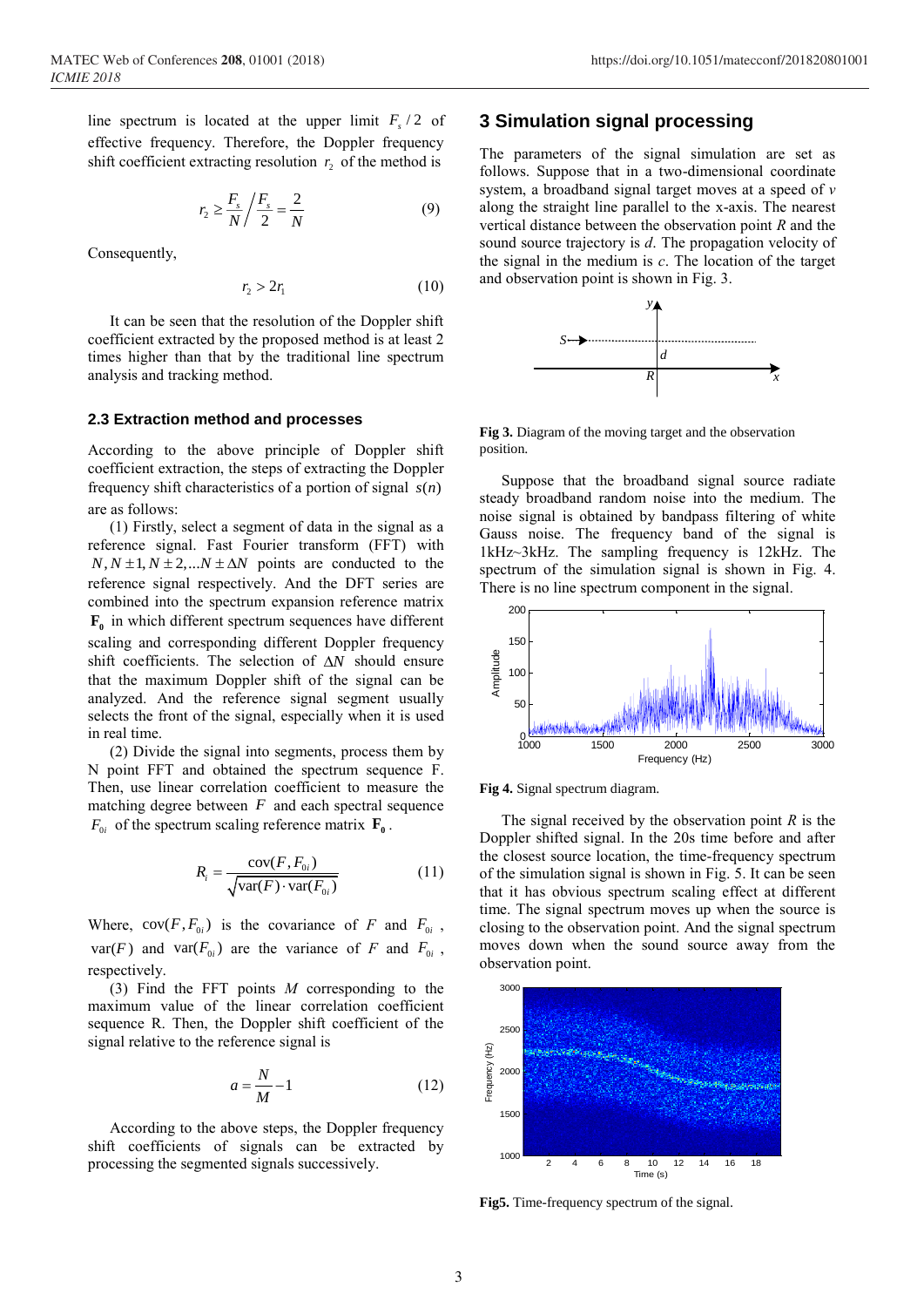line spectrum is located at the upper limit  $F_s/2$  of effective frequency. Therefore, the Doppler frequency shift coefficient extracting resolution  $r<sub>2</sub>$  of the method is

$$
r_2 \ge \frac{F_s}{N} / \frac{F_s}{2} = \frac{2}{N} \tag{9}
$$

Consequently,

$$
r_2 > 2r_1 \tag{10}
$$

It can be seen that the resolution of the Doppler shift coefficient extracted by the proposed method is at least 2 times higher than that by the traditional line spectrum analysis and tracking method.

#### **2.3 Extraction method and processes**

According to the above principle of Doppler shift coefficient extraction, the steps of extracting the Doppler frequency shift characteristics of a portion of signal  $s(n)$ are as follows:

(1) Firstly, select a segment of data in the signal as a reference signal. Fast Fourier transform (FFT) with  $N, N \pm 1, N \pm 2, \dots N \pm \Delta N$  points are conducted to the reference signal respectively. And the DFT series are combined into the spectrum expansion reference matrix **F0** in which different spectrum sequences have different scaling and corresponding different Doppler frequency shift coefficients. The selection of  $\Delta N$  should ensure that the maximum Doppler shift of the signal can be analyzed. And the reference signal segment usually selects the front of the signal, especially when it is used in real time.

(2) Divide the signal into segments, process them by N point FFT and obtained the spectrum sequence F. Then, use linear correlation coefficient to measure the matching degree between *<sup>F</sup>* and each spectral sequence  $F_{0i}$  of the spectrum scaling reference matrix  $\mathbf{F}_{0}$ .

$$
R_i = \frac{\text{cov}(F, F_{0i})}{\sqrt{\text{var}(F) \cdot \text{var}(F_{0i})}}
$$
(11)

Where,  $cov(F, F_{0i})$  is the covariance of *F* and  $F_{0i}$ ,  $var(F)$  and  $var(F_{0i})$  are the variance of *F* and  $F_{0i}$ , respectively.

(3) Find the FFT points *M* corresponding to the maximum value of the linear correlation coefficient sequence R. Then, the Doppler shift coefficient of the signal relative to the reference signal is

$$
a = \frac{N}{M} - 1\tag{12}
$$

According to the above steps, the Doppler frequency shift coefficients of signals can be extracted by processing the segmented signals successively.

### **3 Simulation signal processing**

The parameters of the signal simulation are set as follows. Suppose that in a two-dimensional coordinate system, a broadband signal target moves at a speed of *v* along the straight line parallel to the x-axis. The nearest vertical distance between the observation point *R* and the sound source trajectory is *d*. The propagation velocity of the signal in the medium is *c*. The location of the target and observation point is shown in Fig. 3.



**Fig 3.** Diagram of the moving target and the observation position.

Suppose that the broadband signal source radiate steady broadband random noise into the medium. The noise signal is obtained by bandpass filtering of white Gauss noise. The frequency band of the signal is 1kHz~3kHz. The sampling frequency is 12kHz. The spectrum of the simulation signal is shown in Fig. 4. There is no line spectrum component in the signal.



**Fig 4.** Signal spectrum diagram.

The signal received by the observation point *R* is the Doppler shifted signal. In the 20s time before and after the closest source location, the time-frequency spectrum of the simulation signal is shown in Fig. 5. It can be seen that it has obvious spectrum scaling effect at different time. The signal spectrum moves up when the source is closing to the observation point. And the signal spectrum moves down when the sound source away from the observation point.



**Fig5.** Time-frequency spectrum of the signal.